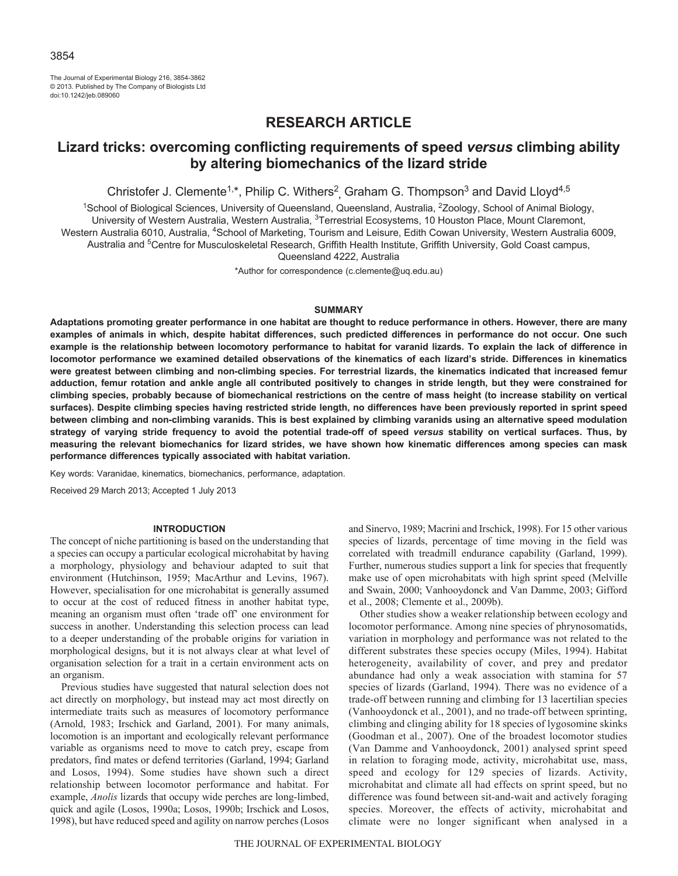The Journal of Experimental Biology 216, 3854-3862 © 2013. Published by The Company of Biologists Ltd doi:10.1242/jeb.089060

# **RESEARCH ARTICLE**

## **Lizard tricks: overcoming conflicting requirements of speed** *versus* **climbing ability by altering biomechanics of the lizard stride**

Christofer J. Clemente<sup>1,\*</sup>, Philip C. Withers<sup>2</sup>, Graham G. Thompson<sup>3</sup> and David Lloyd<sup>4,5</sup>

<sup>1</sup>School of Biological Sciences, University of Queensland, Queensland, Australia, <sup>2</sup>Zoology, School of Animal Biology, University of Western Australia, Western Australia, <sup>3</sup>Terrestrial Ecosystems, 10 Houston Place, Mount Claremont, Western Australia 6010, Australia, <sup>4</sup>School of Marketing, Tourism and Leisure, Edith Cowan University, Western Australia 6009, Australia and <sup>5</sup>Centre for Musculoskeletal Research, Griffith Health Institute, Griffith University, Gold Coast campus, Queensland 4222, Australia

\*Author for correspondence (c.clemente@uq.edu.au)

## **SUMMARY**

**Adaptations promoting greater performance in one habitat are thought to reduce performance in others. However, there are many examples of animals in which, despite habitat differences, such predicted differences in performance do not occur. One such example is the relationship between locomotory performance to habitat for varanid lizards. To explain the lack of difference in locomotor performance we examined detailed observations of the kinematics of each lizard's stride. Differences in kinematics were greatest between climbing and non-climbing species. For terrestrial lizards, the kinematics indicated that increased femur adduction, femur rotation and ankle angle all contributed positively to changes in stride length, but they were constrained for climbing species, probably because of biomechanical restrictions on the centre of mass height (to increase stability on vertical surfaces). Despite climbing species having restricted stride length, no differences have been previously reported in sprint speed between climbing and non-climbing varanids. This is best explained by climbing varanids using an alternative speed modulation strategy of varying stride frequency to avoid the potential trade-off of speed** *versus* **stability on vertical surfaces. Thus, by measuring the relevant biomechanics for lizard strides, we have shown how kinematic differences among species can mask performance differences typically associated with habitat variation.**

Key words: Varanidae, kinematics, biomechanics, performance, adaptation.

Received 29 March 2013; Accepted 1 July 2013

## **INTRODUCTION**

The concept of niche partitioning is based on the understanding that a species can occupy a particular ecological microhabitat by having a morphology, physiology and behaviour adapted to suit that environment (Hutchinson, 1959; MacArthur and Levins, 1967). However, specialisation for one microhabitat is generally assumed to occur at the cost of reduced fitness in another habitat type, meaning an organism must often 'trade off' one environment for success in another. Understanding this selection process can lead to a deeper understanding of the probable origins for variation in morphological designs, but it is not always clear at what level of organisation selection for a trait in a certain environment acts on an organism.

Previous studies have suggested that natural selection does not act directly on morphology, but instead may act most directly on intermediate traits such as measures of locomotory performance (Arnold, 1983; Irschick and Garland, 2001). For many animals, locomotion is an important and ecologically relevant performance variable as organisms need to move to catch prey, escape from predators, find mates or defend territories (Garland, 1994; Garland and Losos, 1994). Some studies have shown such a direct relationship between locomotor performance and habitat. For example, *Anolis* lizards that occupy wide perches are long-limbed, quick and agile (Losos, 1990a; Losos, 1990b; Irschick and Losos, 1998), but have reduced speed and agility on narrow perches (Losos

and Sinervo, 1989; Macrini and Irschick, 1998). For 15 other various species of lizards, percentage of time moving in the field was correlated with treadmill endurance capability (Garland, 1999). Further, numerous studies support a link for species that frequently make use of open microhabitats with high sprint speed (Melville and Swain, 2000; Vanhooydonck and Van Damme, 2003; Gifford et al., 2008; Clemente et al., 2009b).

Other studies show a weaker relationship between ecology and locomotor performance. Among nine species of phrynosomatids, variation in morphology and performance was not related to the different substrates these species occupy (Miles, 1994). Habitat heterogeneity, availability of cover, and prey and predator abundance had only a weak association with stamina for 57 species of lizards (Garland, 1994). There was no evidence of a trade-off between running and climbing for 13 lacertilian species (Vanhooydonck et al., 2001), and no trade-off between sprinting, climbing and clinging ability for 18 species of lygosomine skinks (Goodman et al., 2007). One of the broadest locomotor studies (Van Damme and Vanhooydonck, 2001) analysed sprint speed in relation to foraging mode, activity, microhabitat use, mass, speed and ecology for 129 species of lizards. Activity, microhabitat and climate all had effects on sprint speed, but no difference was found between sit-and-wait and actively foraging species. Moreover, the effects of activity, microhabitat and climate were no longer significant when analysed in a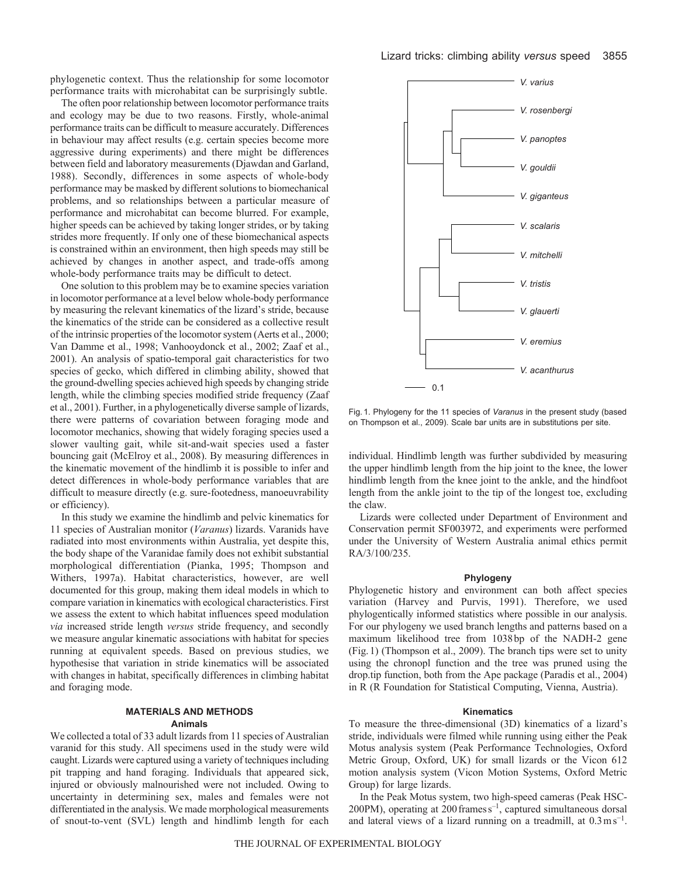phylogenetic context. Thus the relationship for some locomotor performance traits with microhabitat can be surprisingly subtle.

The often poor relationship between locomotor performance traits and ecology may be due to two reasons. Firstly, whole-animal performance traits can be difficult to measure accurately. Differences in behaviour may affect results (e.g. certain species become more aggressive during experiments) and there might be differences between field and laboratory measurements (Djawdan and Garland, 1988). Secondly, differences in some aspects of whole-body performance may be masked by different solutions to biomechanical problems, and so relationships between a particular measure of performance and microhabitat can become blurred. For example, higher speeds can be achieved by taking longer strides, or by taking strides more frequently. If only one of these biomechanical aspects is constrained within an environment, then high speeds may still be achieved by changes in another aspect, and trade-offs among whole-body performance traits may be difficult to detect.

One solution to this problem may be to examine species variation in locomotor performance at a level below whole-body performance by measuring the relevant kinematics of the lizard's stride, because the kinematics of the stride can be considered as a collective result of the intrinsic properties of the locomotor system (Aerts et al., 2000; Van Damme et al., 1998; Vanhooydonck et al., 2002; Zaaf et al., 2001). An analysis of spatio-temporal gait characteristics for two species of gecko, which differed in climbing ability, showed that the ground-dwelling species achieved high speeds by changing stride length, while the climbing species modified stride frequency (Zaaf et al., 2001). Further, in a phylogenetically diverse sample of lizards, there were patterns of covariation between foraging mode and locomotor mechanics, showing that widely foraging species used a slower vaulting gait, while sit-and-wait species used a faster bouncing gait (McElroy et al., 2008). By measuring differences in the kinematic movement of the hindlimb it is possible to infer and detect differences in whole-body performance variables that are difficult to measure directly (e.g. sure-footedness, manoeuvrability or efficiency).

In this study we examine the hindlimb and pelvic kinematics for 11 species of Australian monitor (*Varanus*) lizards. Varanids have radiated into most environments within Australia, yet despite this, the body shape of the Varanidae family does not exhibit substantial morphological differentiation (Pianka, 1995; Thompson and Withers, 1997a). Habitat characteristics, however, are well documented for this group, making them ideal models in which to compare variation in kinematics with ecological characteristics. First we assess the extent to which habitat influences speed modulation *via* increased stride length *versus* stride frequency, and secondly we measure angular kinematic associations with habitat for species running at equivalent speeds. Based on previous studies, we hypothesise that variation in stride kinematics will be associated with changes in habitat, specifically differences in climbing habitat and foraging mode.

## **MATERIALS AND METHODS Animals**

We collected a total of 33 adult lizards from 11 species of Australian varanid for this study. All specimens used in the study were wild caught. Lizards were captured using a variety of techniques including pit trapping and hand foraging. Individuals that appeared sick, injured or obviously malnourished were not included. Owing to uncertainty in determining sex, males and females were not differentiated in the analysis. We made morphological measurements of snout-to-vent (SVL) length and hindlimb length for each



Fig. 1. Phylogeny for the 11 species of *Varanus* in the present study (based on Thompson et al., 2009). Scale bar units are in substitutions per site.

individual. Hindlimb length was further subdivided by measuring the upper hindlimb length from the hip joint to the knee, the lower hindlimb length from the knee joint to the ankle, and the hindfoot length from the ankle joint to the tip of the longest toe, excluding the claw.

Lizards were collected under Department of Environment and Conservation permit SF003972, and experiments were performed under the University of Western Australia animal ethics permit RA/3/100/235.

## **Phylogeny**

Phylogenetic history and environment can both affect species variation (Harvey and Purvis, 1991). Therefore, we used phylogentically informed statistics where possible in our analysis. For our phylogeny we used branch lengths and patterns based on a maximum likelihood tree from 1038bp of the NADH-2 gene (Fig.1) (Thompson et al., 2009). The branch tips were set to unity using the chronopl function and the tree was pruned using the drop.tip function, both from the Ape package (Paradis et al., 2004) in R (R Foundation for Statistical Computing, Vienna, Austria).

#### **Kinematics**

To measure the three-dimensional (3D) kinematics of a lizard's stride, individuals were filmed while running using either the Peak Motus analysis system (Peak Performance Technologies, Oxford Metric Group, Oxford, UK) for small lizards or the Vicon 612 motion analysis system (Vicon Motion Systems, Oxford Metric Group) for large lizards.

In the Peak Motus system, two high-speed cameras (Peak HSC- $200PM$ ), operating at  $200$  frames  $s^{-1}$ , captured simultaneous dorsal and lateral views of a lizard running on a treadmill, at  $0.3 \text{ ms}^{-1}$ .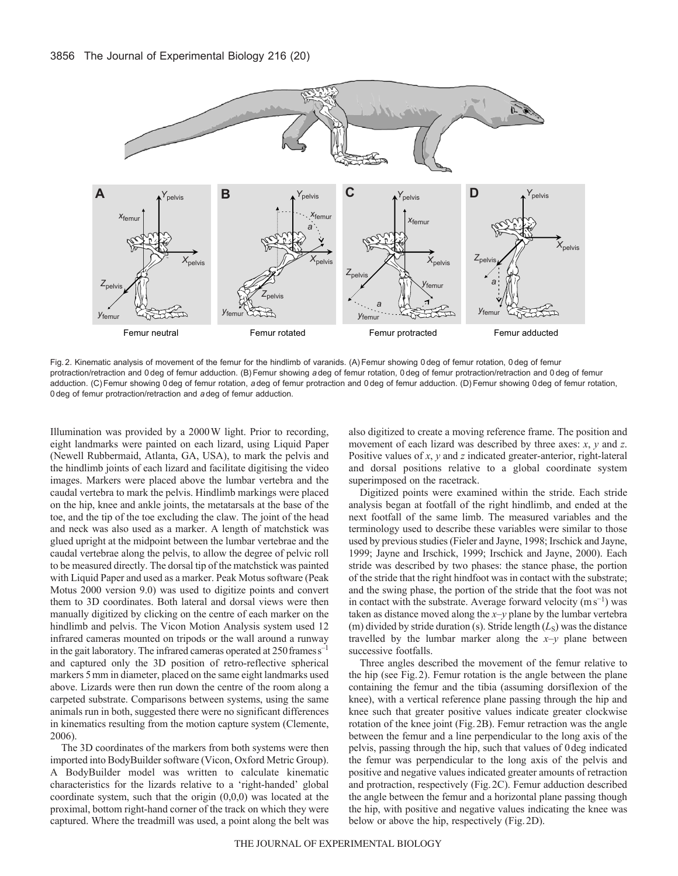

Fig. 2. Kinematic analysis of movement of the femur for the hindlimb of varanids. (A) Femur showing 0 deg of femur rotation, 0 deg of femur protraction/retraction and 0 deg of femur adduction. (B)Femur showing *a* deg of femur rotation, 0 deg of femur protraction/retraction and 0 deg of femur adduction. (C)Femur showing 0 deg of femur rotation, *a* deg of femur protraction and 0 deg of femur adduction. (D)Femur showing 0 deg of femur rotation, 0 deg of femur protraction/retraction and *a* deg of femur adduction.

Illumination was provided by a 2000W light. Prior to recording, eight landmarks were painted on each lizard, using Liquid Paper (Newell Rubbermaid, Atlanta, GA, USA), to mark the pelvis and the hindlimb joints of each lizard and facilitate digitising the video images. Markers were placed above the lumbar vertebra and the caudal vertebra to mark the pelvis. Hindlimb markings were placed on the hip, knee and ankle joints, the metatarsals at the base of the toe, and the tip of the toe excluding the claw. The joint of the head and neck was also used as a marker. A length of matchstick was glued upright at the midpoint between the lumbar vertebrae and the caudal vertebrae along the pelvis, to allow the degree of pelvic roll to be measured directly. The dorsal tip of the matchstick was painted with Liquid Paper and used as a marker. Peak Motus software (Peak Motus 2000 version 9.0) was used to digitize points and convert them to 3D coordinates. Both lateral and dorsal views were then manually digitized by clicking on the centre of each marker on the hindlimb and pelvis. The Vicon Motion Analysis system used 12 infrared cameras mounted on tripods or the wall around a runway in the gait laboratory. The infrared cameras operated at  $250$  frames  $s^{-1}$ and captured only the 3D position of retro-reflective spherical markers 5mm in diameter, placed on the same eight landmarks used above. Lizards were then run down the centre of the room along a carpeted substrate. Comparisons between systems, using the same animals run in both, suggested there were no significant differences in kinematics resulting from the motion capture system (Clemente, 2006).

The 3D coordinates of the markers from both systems were then imported into BodyBuilder software (Vicon, Oxford Metric Group). A BodyBuilder model was written to calculate kinematic characteristics for the lizards relative to a 'right-handed' global coordinate system, such that the origin (0,0,0) was located at the proximal, bottom right-hand corner of the track on which they were captured. Where the treadmill was used, a point along the belt was also digitized to create a moving reference frame. The position and movement of each lizard was described by three axes: *x*, *y* and *z*. Positive values of *x*, *y* and *z* indicated greater-anterior, right-lateral and dorsal positions relative to a global coordinate system superimposed on the racetrack.

Digitized points were examined within the stride. Each stride analysis began at footfall of the right hindlimb, and ended at the next footfall of the same limb. The measured variables and the terminology used to describe these variables were similar to those used by previous studies (Fieler and Jayne, 1998; Irschick and Jayne, 1999; Jayne and Irschick, 1999; Irschick and Jayne, 2000). Each stride was described by two phases: the stance phase, the portion of the stride that the right hindfoot was in contact with the substrate; and the swing phase, the portion of the stride that the foot was not in contact with the substrate. Average forward velocity  $(m s^{-1})$  was taken as distance moved along the *x*–*y* plane by the lumbar vertebra (m) divided by stride duration (s). Stride length  $(L<sub>S</sub>)$  was the distance travelled by the lumbar marker along the  $x-y$  plane between successive footfalls.

Three angles described the movement of the femur relative to the hip (see Fig.2). Femur rotation is the angle between the plane containing the femur and the tibia (assuming dorsiflexion of the knee), with a vertical reference plane passing through the hip and knee such that greater positive values indicate greater clockwise rotation of the knee joint (Fig.2B). Femur retraction was the angle between the femur and a line perpendicular to the long axis of the pelvis, passing through the hip, such that values of 0deg indicated the femur was perpendicular to the long axis of the pelvis and positive and negative values indicated greater amounts of retraction and protraction, respectively (Fig.2C). Femur adduction described the angle between the femur and a horizontal plane passing though the hip, with positive and negative values indicating the knee was below or above the hip, respectively (Fig.2D).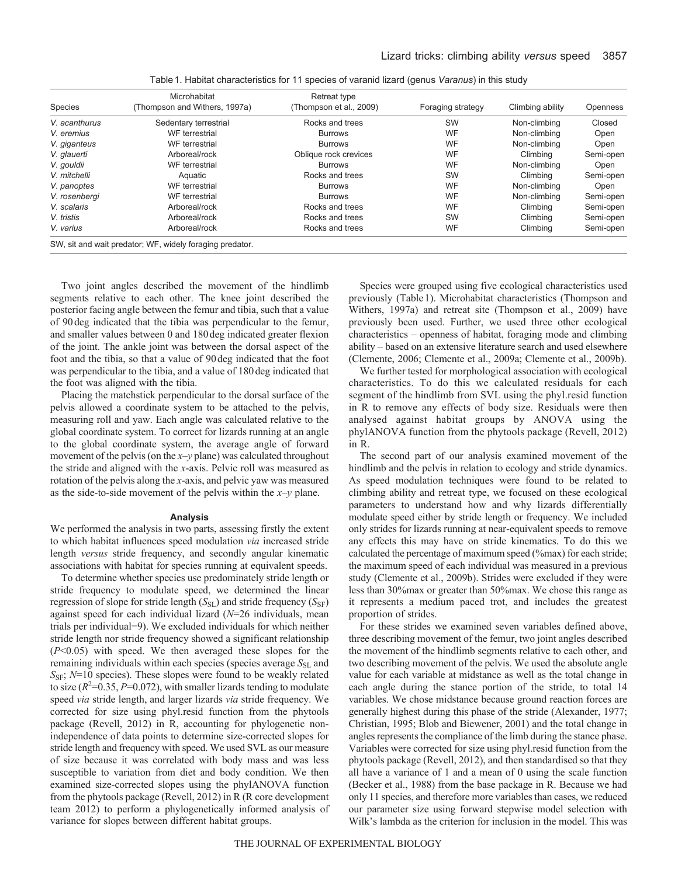| Species       | Microhabitat<br>(Thompson and Withers, 1997a)            | Retreat type<br>(Thompson et al., 2009) | Foraging strategy | Climbing ability | <b>Openness</b> |
|---------------|----------------------------------------------------------|-----------------------------------------|-------------------|------------------|-----------------|
| V. acanthurus | Sedentary terrestrial                                    | Rocks and trees                         | SW                | Non-climbing     | Closed          |
| V. eremius    | WF terrestrial                                           | <b>Burrows</b>                          | WF                | Non-climbing     | Open            |
| V. giganteus  | WF terrestrial                                           | <b>Burrows</b>                          | <b>WF</b>         | Non-climbing     | Open            |
| V. glauerti   | Arboreal/rock                                            | Oblique rock crevices                   | WF                | Climbing         | Semi-open       |
| V. gouldii    | WF terrestrial                                           | <b>Burrows</b>                          | WF                | Non-climbing     | Open            |
| V. mitchelli  | Aquatic                                                  | Rocks and trees                         | <b>SW</b>         | Climbing         | Semi-open       |
| V. panoptes   | WF terrestrial                                           | <b>Burrows</b>                          | WF                | Non-climbing     | Open            |
| V. rosenbergi | WF terrestrial                                           | <b>Burrows</b>                          | <b>WF</b>         | Non-climbing     | Semi-open       |
| V. scalaris   | Arboreal/rock                                            | Rocks and trees                         | <b>WF</b>         | Climbing         | Semi-open       |
| V. tristis    | Arboreal/rock                                            | Rocks and trees                         | <b>SW</b>         | Climbing         | Semi-open       |
| V. varius     | Arboreal/rock                                            | Rocks and trees                         | WF                | Climbing         | Semi-open       |
|               | SW, sit and wait predator; WF, widely foraging predator. |                                         |                   |                  |                 |

Table1. Habitat characteristics for 11 species of varanid lizard (genus *Varanus*) in this study

Two joint angles described the movement of the hindlimb segments relative to each other. The knee joint described the posterior facing angle between the femur and tibia, such that a value of 90deg indicated that the tibia was perpendicular to the femur, and smaller values between 0 and 180deg indicated greater flexion of the joint. The ankle joint was between the dorsal aspect of the foot and the tibia, so that a value of 90deg indicated that the foot was perpendicular to the tibia, and a value of 180deg indicated that the foot was aligned with the tibia.

Placing the matchstick perpendicular to the dorsal surface of the pelvis allowed a coordinate system to be attached to the pelvis, measuring roll and yaw. Each angle was calculated relative to the global coordinate system. To correct for lizards running at an angle to the global coordinate system, the average angle of forward movement of the pelvis (on the *x*–*y* plane) was calculated throughout the stride and aligned with the *x*-axis. Pelvic roll was measured as rotation of the pelvis along the *x*-axis, and pelvic yaw was measured as the side-to-side movement of the pelvis within the *x*–*y* plane.

#### **Analysis**

We performed the analysis in two parts, assessing firstly the extent to which habitat influences speed modulation *via* increased stride length *versus* stride frequency, and secondly angular kinematic associations with habitat for species running at equivalent speeds.

To determine whether species use predominately stride length or stride frequency to modulate speed, we determined the linear regression of slope for stride length (*S*<sub>SL</sub>) and stride frequency (*S*<sub>SF</sub>) against speed for each individual lizard (*N*=26 individuals, mean trials per individual=9). We excluded individuals for which neither stride length nor stride frequency showed a significant relationship (*P*<0.05) with speed. We then averaged these slopes for the remaining individuals within each species (species average  $S_{SL}$  and S<sub>SF</sub>;  $N=10$  species). These slopes were found to be weakly related to size  $(R^2=0.35, P=0.072)$ , with smaller lizards tending to modulate speed *via* stride length, and larger lizards *via* stride frequency. We corrected for size using phyl.resid function from the phytools package (Revell, 2012) in R, accounting for phylogenetic nonindependence of data points to determine size-corrected slopes for stride length and frequency with speed. We used SVL as our measure of size because it was correlated with body mass and was less susceptible to variation from diet and body condition. We then examined size-corrected slopes using the phylANOVA function from the phytools package (Revell, 2012) in R (R core development team 2012) to perform a phylogenetically informed analysis of variance for slopes between different habitat groups.

Species were grouped using five ecological characteristics used previously (Table1). Microhabitat characteristics (Thompson and Withers, 1997a) and retreat site (Thompson et al., 2009) have previously been used. Further, we used three other ecological characteristics – openness of habitat, foraging mode and climbing ability – based on an extensive literature search and used elsewhere (Clemente, 2006; Clemente et al., 2009a; Clemente et al., 2009b).

We further tested for morphological association with ecological characteristics. To do this we calculated residuals for each segment of the hindlimb from SVL using the phyl.resid function in R to remove any effects of body size. Residuals were then analysed against habitat groups by ANOVA using the phylANOVA function from the phytools package (Revell, 2012) in R.

The second part of our analysis examined movement of the hindlimb and the pelvis in relation to ecology and stride dynamics. As speed modulation techniques were found to be related to climbing ability and retreat type, we focused on these ecological parameters to understand how and why lizards differentially modulate speed either by stride length or frequency. We included only strides for lizards running at near-equivalent speeds to remove any effects this may have on stride kinematics. To do this we calculated the percentage of maximum speed (%max) for each stride; the maximum speed of each individual was measured in a previous study (Clemente et al., 2009b). Strides were excluded if they were less than 30%max or greater than 50%max. We chose this range as it represents a medium paced trot, and includes the greatest proportion of strides.

For these strides we examined seven variables defined above, three describing movement of the femur, two joint angles described the movement of the hindlimb segments relative to each other, and two describing movement of the pelvis. We used the absolute angle value for each variable at midstance as well as the total change in each angle during the stance portion of the stride, to total 14 variables. We chose midstance because ground reaction forces are generally highest during this phase of the stride (Alexander, 1977; Christian, 1995; Blob and Biewener, 2001) and the total change in angles represents the compliance of the limb during the stance phase. Variables were corrected for size using phyl.resid function from the phytools package (Revell, 2012), and then standardised so that they all have a variance of 1 and a mean of 0 using the scale function (Becker et al., 1988) from the base package in R. Because we had only 11 species, and therefore more variables than cases, we reduced our parameter size using forward stepwise model selection with Wilk's lambda as the criterion for inclusion in the model. This was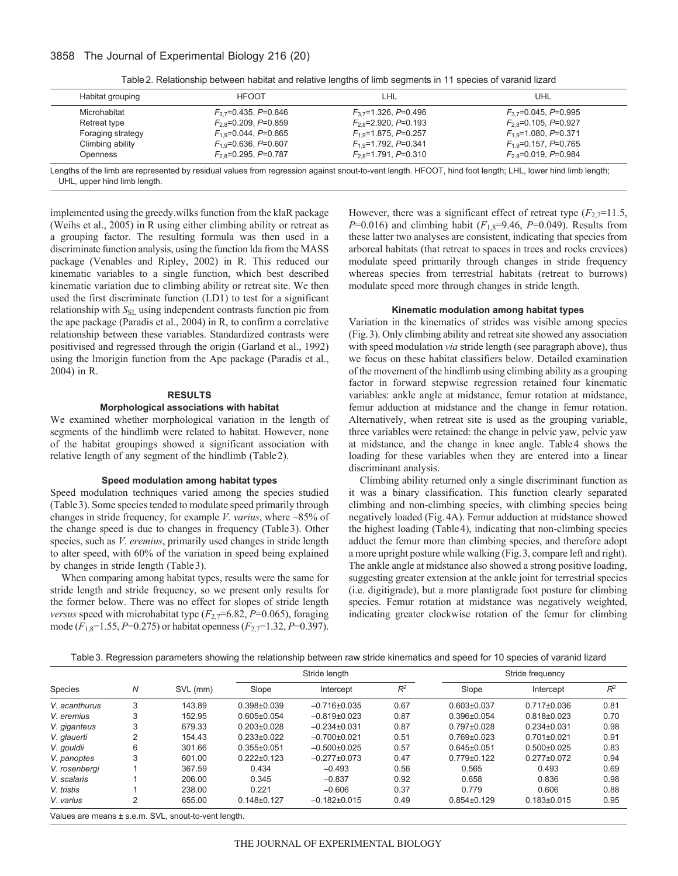## 3858 The Journal of Experimental Biology 216 (20)

| Table 2. Relationship between habitat and relative lengths of limb segments in 11 species of varanid lizard |  |  |
|-------------------------------------------------------------------------------------------------------------|--|--|
|                                                                                                             |  |  |

| Habitat grouping  | <b>HFOOT</b>                    | LHL                       | UHL                       |
|-------------------|---------------------------------|---------------------------|---------------------------|
| Microhabitat      | $F_{3,7}$ =0.435, P=0.846       | $F_{3,7}$ =1.326, P=0.496 | $F_{3,7}$ =0.045, P=0.995 |
| Retreat type      | $F_{2,8}$ =0.209, P=0.859       | $F_{2,8}$ =2.920, P=0.193 | $F_{2,8}$ =0.105, P=0.927 |
| Foraging strategy | $F_{1.9} = 0.044$ , $P = 0.865$ | $F_{1.9}$ =1.875, P=0.257 | $F_{1.9}$ =1.080, P=0.371 |
| Climbing ability  | $F_{19}$ =0.636, P=0.607        | $F_{19}$ =1.792, P=0.341  | $F_{19}$ =0.157, P=0.765  |
| Openness          | $F_{2,8}$ =0.295, P=0.787       | $F_{2,8}$ =1.791, P=0.310 | $F_{2,8}$ =0.019, P=0.984 |

UHL, upper hind limb length.

implemented using the greedy.wilks function from the klaR package (Weihs et al., 2005) in R using either climbing ability or retreat as a grouping factor. The resulting formula was then used in a discriminate function analysis, using the function lda from the MASS package (Venables and Ripley, 2002) in R. This reduced our kinematic variables to a single function, which best described kinematic variation due to climbing ability or retreat site. We then used the first discriminate function (LD1) to test for a significant relationship with  $S_{SL}$  using independent contrasts function pic from the ape package (Paradis et al., 2004) in R, to confirm a correlative relationship between these variables. Standardized contrasts were positivised and regressed through the origin (Garland et al., 1992) using the lmorigin function from the Ape package (Paradis et al., 2004) in R.

### **RESULTS**

## **Morphological associations with habitat**

We examined whether morphological variation in the length of segments of the hindlimb were related to habitat. However, none of the habitat groupings showed a significant association with relative length of any segment of the hindlimb (Table2).

#### **Speed modulation among habitat types**

Speed modulation techniques varied among the species studied (Table3). Some species tended to modulate speed primarily through changes in stride frequency, for example *V. varius*, where ~85% of the change speed is due to changes in frequency (Table3). Other species, such as *V. eremius*, primarily used changes in stride length to alter speed, with 60% of the variation in speed being explained by changes in stride length (Table3).

When comparing among habitat types, results were the same for stride length and stride frequency, so we present only results for the former below. There was no effect for slopes of stride length *versus* speed with microhabitat type  $(F_{2,7}=6.82, P=0.065)$ , foraging mode (*F*1,8=1.55, *P*=0.275) or habitat openness (*F*2,7=1.32, *P*=0.397).

However, there was a significant effect of retreat type  $(F_{2,7}=11.5)$ , *P*=0.016) and climbing habit ( $F_{1,8}$ =9.46, *P*=0.049). Results from these latter two analyses are consistent, indicating that species from arboreal habitats (that retreat to spaces in trees and rocks crevices) modulate speed primarily through changes in stride frequency whereas species from terrestrial habitats (retreat to burrows) modulate speed more through changes in stride length.

## **Kinematic modulation among habitat types**

Variation in the kinematics of strides was visible among species (Fig.3). Only climbing ability and retreat site showed any association with speed modulation *via* stride length (see paragraph above), thus we focus on these habitat classifiers below. Detailed examination of the movement of the hindlimb using climbing ability as a grouping factor in forward stepwise regression retained four kinematic variables: ankle angle at midstance, femur rotation at midstance, femur adduction at midstance and the change in femur rotation. Alternatively, when retreat site is used as the grouping variable, three variables were retained: the change in pelvic yaw, pelvic yaw at midstance, and the change in knee angle. Table4 shows the loading for these variables when they are entered into a linear discriminant analysis.

Climbing ability returned only a single discriminant function as it was a binary classification. This function clearly separated climbing and non-climbing species, with climbing species being negatively loaded (Fig.4A). Femur adduction at midstance showed the highest loading (Table4), indicating that non-climbing species adduct the femur more than climbing species, and therefore adopt a more upright posture while walking (Fig.3, compare left and right). The ankle angle at midstance also showed a strong positive loading, suggesting greater extension at the ankle joint for terrestrial species (i.e. digitigrade), but a more plantigrade foot posture for climbing species. Femur rotation at midstance was negatively weighted, indicating greater clockwise rotation of the femur for climbing

| Table 3. Regression parameters showing the relationship between raw stride kinematics and speed for 10 species of varanid lizard |  |  |  |
|----------------------------------------------------------------------------------------------------------------------------------|--|--|--|
|                                                                                                                                  |  |  |  |

|                |                | N<br>SVL (mm) | Stride length     |                    |       | Stride frequency  |                   |       |
|----------------|----------------|---------------|-------------------|--------------------|-------|-------------------|-------------------|-------|
| <b>Species</b> |                |               | Slope             | Intercept          | $R^2$ | Slope             | Intercept         | $R^2$ |
| V. acanthurus  | 3              | 143.89        | $0.398 \pm 0.039$ | $-0.716\pm0.035$   | 0.67  | $0.603 \pm 0.037$ | $0.717 \pm 0.036$ | 0.81  |
| V. eremius     | 3              | 152.95        | $0.605 \pm 0.054$ | $-0.819+0.023$     | 0.87  | $0.396 \pm 0.054$ | $0.818 \pm 0.023$ | 0.70  |
| V. giganteus   | 3              | 679.33        | $0.203 \pm 0.028$ | $-0.234\pm0.031$   | 0.87  | $0.797 \pm 0.028$ | $0.234 \pm 0.031$ | 0.98  |
| V. glauerti    | 2              | 154.43        | $0.233 \pm 0.022$ | $-0.700+0.021$     | 0.51  | $0.769 \pm 0.023$ | $0.701 \pm 0.021$ | 0.91  |
| V. gouldii     | 6              | 301.66        | $0.355 \pm 0.051$ | $-0.500+0.025$     | 0.57  | $0.645 \pm 0.051$ | $0.500 \pm 0.025$ | 0.83  |
| V. panoptes    | 3              | 601.00        | $0.222 \pm 0.123$ | $-0.277 \pm 0.073$ | 0.47  | $0.779 \pm 0.122$ | $0.277 \pm 0.072$ | 0.94  |
| V. rosenbergi  |                | 367.59        | 0.434             | $-0.493$           | 0.56  | 0.565             | 0.493             | 0.69  |
| V. scalaris    |                | 206.00        | 0.345             | $-0.837$           | 0.92  | 0.658             | 0.836             | 0.98  |
| V. tristis     |                | 238.00        | 0.221             | $-0.606$           | 0.37  | 0.779             | 0.606             | 0.88  |
| V. varius      | $\overline{2}$ | 655.00        | $0.148 + 0.127$   | $-0.182+0.015$     | 0.49  | $0.854\pm0.129$   | $0.183 \pm 0.015$ | 0.95  |

Values are means ± s.e.m. SVL, snout-to-vent length.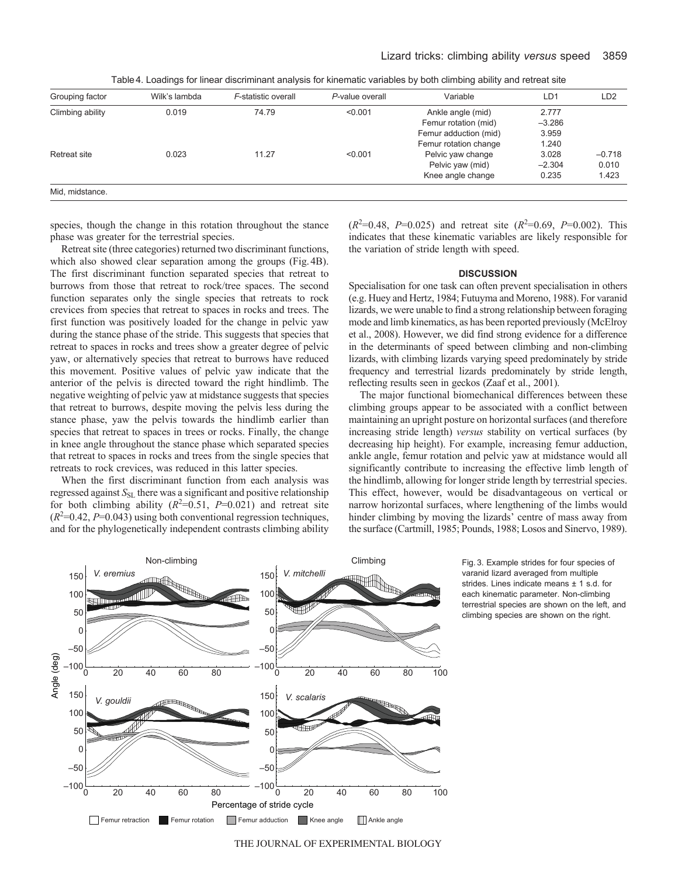| Table 4. Loadings for linear discriminant analysis for kinematic variables by both climbing ability and retreat site |  |  |
|----------------------------------------------------------------------------------------------------------------------|--|--|
|                                                                                                                      |  |  |

| Grouping factor  | Wilk's lambda | F-statistic overall | P-value overall | Variable              | LD1      | LD <sub>2</sub> |
|------------------|---------------|---------------------|-----------------|-----------------------|----------|-----------------|
| Climbing ability | 0.019         | 74.79               | < 0.001         | Ankle angle (mid)     | 2.777    |                 |
|                  |               |                     |                 | Femur rotation (mid)  | $-3.286$ |                 |
|                  |               |                     |                 | Femur adduction (mid) | 3.959    |                 |
|                  |               |                     |                 | Femur rotation change | 1.240    |                 |
| Retreat site     | 0.023         | 11.27               | < 0.001         | Pelvic yaw change     | 3.028    | $-0.718$        |
|                  |               |                     |                 | Pelvic yaw (mid)      | $-2.304$ | 0.010           |
|                  |               |                     |                 | Knee angle change     | 0.235    | 1.423           |
| Mid, midstance.  |               |                     |                 |                       |          |                 |

species, though the change in this rotation throughout the stance phase was greater for the terrestrial species.

Retreat site (three categories) returned two discriminant functions, which also showed clear separation among the groups (Fig.4B). The first discriminant function separated species that retreat to burrows from those that retreat to rock/tree spaces. The second function separates only the single species that retreats to rock crevices from species that retreat to spaces in rocks and trees. The first function was positively loaded for the change in pelvic yaw during the stance phase of the stride. This suggests that species that retreat to spaces in rocks and trees show a greater degree of pelvic yaw, or alternatively species that retreat to burrows have reduced this movement. Positive values of pelvic yaw indicate that the anterior of the pelvis is directed toward the right hindlimb. The negative weighting of pelvic yaw at midstance suggests that species that retreat to burrows, despite moving the pelvis less during the stance phase, yaw the pelvis towards the hindlimb earlier than species that retreat to spaces in trees or rocks. Finally, the change in knee angle throughout the stance phase which separated species that retreat to spaces in rocks and trees from the single species that retreats to rock crevices, was reduced in this latter species.

When the first discriminant function from each analysis was regressed against  $S_{SL}$  there was a significant and positive relationship for both climbing ability  $(R^2=0.51, P=0.021)$  and retreat site  $(R<sup>2</sup>=0.42, P=0.043)$  using both conventional regression techniques, and for the phylogenetically independent contrasts climbing ability

 $(R^2=0.48, P=0.025)$  and retreat site  $(R^2=0.69, P=0.002)$ . This indicates that these kinematic variables are likely responsible for the variation of stride length with speed.

## **DISCUSSION**

Specialisation for one task can often prevent specialisation in others (e.g. Huey and Hertz, 1984; Futuyma and Moreno, 1988). For varanid lizards, we were unable to find a strong relationship between foraging mode and limb kinematics, as has been reported previously (McElroy et al., 2008). However, we did find strong evidence for a difference in the determinants of speed between climbing and non-climbing lizards, with climbing lizards varying speed predominately by stride frequency and terrestrial lizards predominately by stride length, reflecting results seen in geckos (Zaaf et al., 2001).

The major functional biomechanical differences between these climbing groups appear to be associated with a conflict between maintaining an upright posture on horizontal surfaces (and therefore increasing stride length) *versus* stability on vertical surfaces (by decreasing hip height). For example, increasing femur adduction, ankle angle, femur rotation and pelvic yaw at midstance would all significantly contribute to increasing the effective limb length of the hindlimb, allowing for longer stride length by terrestrial species. This effect, however, would be disadvantageous on vertical or narrow horizontal surfaces, where lengthening of the limbs would hinder climbing by moving the lizards' centre of mass away from the surface (Cartmill, 1985; Pounds, 1988; Losos and Sinervo, 1989).



Fig. 3. Example strides for four species of varanid lizard averaged from multiple strides. Lines indicate means ± 1 s.d. for each kinematic parameter. Non-climbing terrestrial species are shown on the left, and climbing species are shown on the right.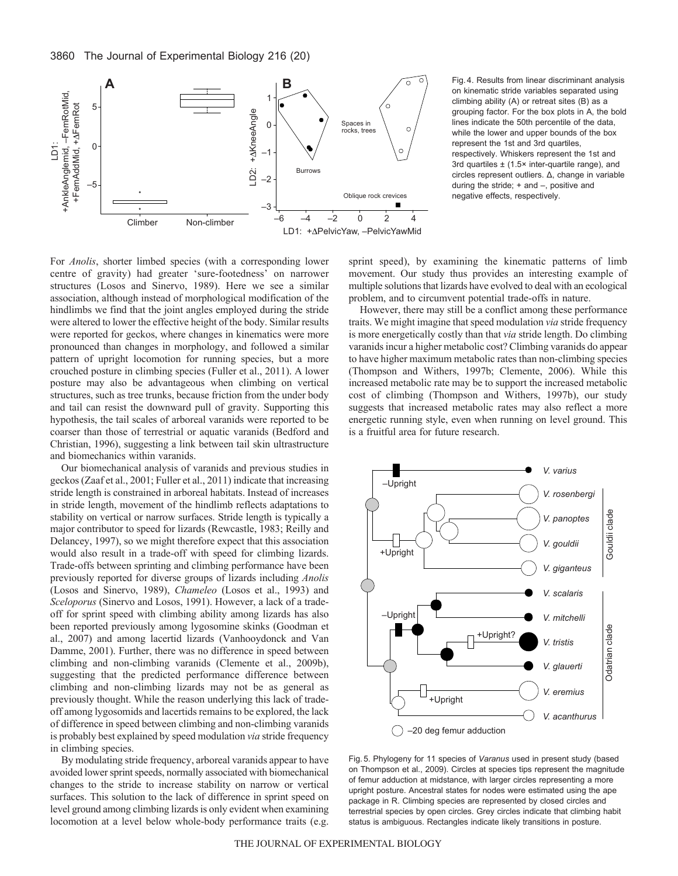

For *Anolis*, shorter limbed species (with a corresponding lower centre of gravity) had greater 'sure-footedness' on narrower structures (Losos and Sinervo, 1989). Here we see a similar association, although instead of morphological modification of the hindlimbs we find that the joint angles employed during the stride were altered to lower the effective height of the body. Similar results were reported for geckos, where changes in kinematics were more pronounced than changes in morphology, and followed a similar pattern of upright locomotion for running species, but a more crouched posture in climbing species (Fuller et al., 2011). A lower posture may also be advantageous when climbing on vertical structures, such as tree trunks, because friction from the under body and tail can resist the downward pull of gravity. Supporting this hypothesis, the tail scales of arboreal varanids were reported to be coarser than those of terrestrial or aquatic varanids (Bedford and Christian, 1996), suggesting a link between tail skin ultrastructure and biomechanics within varanids.

Our biomechanical analysis of varanids and previous studies in geckos (Zaaf et al., 2001; Fuller et al., 2011) indicate that increasing stride length is constrained in arboreal habitats. Instead of increases in stride length, movement of the hindlimb reflects adaptations to stability on vertical or narrow surfaces. Stride length is typically a major contributor to speed for lizards (Rewcastle, 1983; Reilly and Delancey, 1997), so we might therefore expect that this association would also result in a trade-off with speed for climbing lizards. Trade-offs between sprinting and climbing performance have been previously reported for diverse groups of lizards including *Anolis* (Losos and Sinervo, 1989), *Chameleo* (Losos et al., 1993) and *Sceloporus* (Sinervo and Losos, 1991). However, a lack of a tradeoff for sprint speed with climbing ability among lizards has also been reported previously among lygosomine skinks (Goodman et al., 2007) and among lacertid lizards (Vanhooydonck and Van Damme, 2001). Further, there was no difference in speed between climbing and non-climbing varanids (Clemente et al., 2009b), suggesting that the predicted performance difference between climbing and non-climbing lizards may not be as general as previously thought. While the reason underlying this lack of tradeoff among lygosomids and lacertids remains to be explored, the lack of difference in speed between climbing and non-climbing varanids is probably best explained by speed modulation *via* stride frequency in climbing species.

By modulating stride frequency, arboreal varanids appear to have avoided lower sprint speeds, normally associated with biomechanical changes to the stride to increase stability on narrow or vertical surfaces. This solution to the lack of difference in sprint speed on level ground among climbing lizards is only evident when examining locomotion at a level below whole-body performance traits (e.g.

on kinematic stride variables separated using climbing ability (A) or retreat sites (B) as a grouping factor. For the box plots in A, the bold lines indicate the 50th percentile of the data, while the lower and upper bounds of the box represent the 1st and 3rd quartiles, respectively. Whiskers represent the 1st and 3rd quartiles  $\pm$  (1.5 $\times$  inter-quartile range), and circles represent outliers. Δ, change in variable during the stride; + and –, positive and negative effects, respectively.

sprint speed), by examining the kinematic patterns of limb movement. Our study thus provides an interesting example of multiple solutions that lizards have evolved to deal with an ecological problem, and to circumvent potential trade-offs in nature.

However, there may still be a conflict among these performance traits. We might imagine that speed modulation *via* stride frequency is more energetically costly than that *via* stride length. Do climbing varanids incur a higher metabolic cost? Climbing varanids do appear to have higher maximum metabolic rates than non-climbing species (Thompson and Withers, 1997b; Clemente, 2006). While this increased metabolic rate may be to support the increased metabolic cost of climbing (Thompson and Withers, 1997b), our study suggests that increased metabolic rates may also reflect a more energetic running style, even when running on level ground. This is a fruitful area for future research.



Fig. 5. Phylogeny for 11 species of *Varanus* used in present study (based on Thompson et al., 2009). Circles at species tips represent the magnitude of femur adduction at midstance, with larger circles representing a more upright posture. Ancestral states for nodes were estimated using the ape package in R. Climbing species are represented by closed circles and terrestrial species by open circles. Grey circles indicate that climbing habit status is ambiguous. Rectangles indicate likely transitions in posture.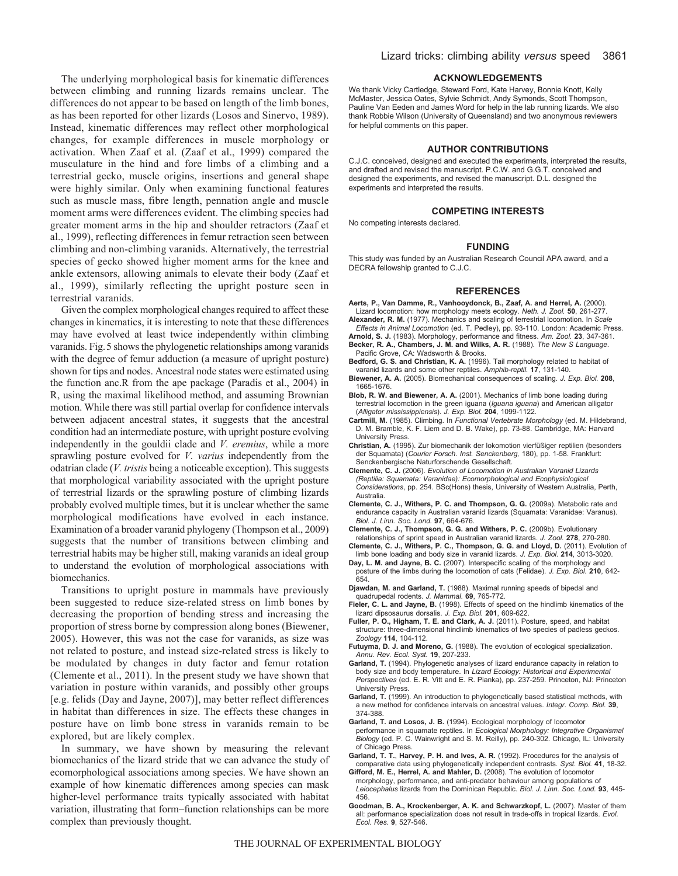The underlying morphological basis for kinematic differences between climbing and running lizards remains unclear. The differences do not appear to be based on length of the limb bones, as has been reported for other lizards (Losos and Sinervo, 1989). Instead, kinematic differences may reflect other morphological changes, for example differences in muscle morphology or activation. When Zaaf et al. (Zaaf et al., 1999) compared the musculature in the hind and fore limbs of a climbing and a terrestrial gecko, muscle origins, insertions and general shape were highly similar. Only when examining functional features such as muscle mass, fibre length, pennation angle and muscle moment arms were differences evident. The climbing species had greater moment arms in the hip and shoulder retractors (Zaaf et al., 1999), reflecting differences in femur retraction seen between climbing and non-climbing varanids. Alternatively, the terrestrial species of gecko showed higher moment arms for the knee and ankle extensors, allowing animals to elevate their body (Zaaf et al., 1999), similarly reflecting the upright posture seen in terrestrial varanids.

Given the complex morphological changes required to affect these changes in kinematics, it is interesting to note that these differences may have evolved at least twice independently within climbing varanids. Fig.5 shows the phylogenetic relationships among varanids with the degree of femur adduction (a measure of upright posture) shown for tips and nodes. Ancestral node states were estimated using the function anc.R from the ape package (Paradis et al., 2004) in R, using the maximal likelihood method, and assuming Brownian motion. While there was still partial overlap for confidence intervals between adjacent ancestral states, it suggests that the ancestral condition had an intermediate posture, with upright posture evolving independently in the gouldii clade and *V. eremius*, while a more sprawling posture evolved for *V. varius* independently from the odatrian clade (*V. tristis* being a noticeable exception). This suggests that morphological variability associated with the upright posture of terrestrial lizards or the sprawling posture of climbing lizards probably evolved multiple times, but it is unclear whether the same morphological modifications have evolved in each instance. Examination of a broader varanid phylogeny (Thompson et al., 2009) suggests that the number of transitions between climbing and terrestrial habits may be higher still, making varanids an ideal group to understand the evolution of morphological associations with biomechanics.

Transitions to upright posture in mammals have previously been suggested to reduce size-related stress on limb bones by decreasing the proportion of bending stress and increasing the proportion of stress borne by compression along bones (Biewener, 2005). However, this was not the case for varanids, as size was not related to posture, and instead size-related stress is likely to be modulated by changes in duty factor and femur rotation (Clemente et al., 2011). In the present study we have shown that variation in posture within varanids, and possibly other groups [e.g. felids (Day and Jayne, 2007)], may better reflect differences in habitat than differences in size. The effects these changes in posture have on limb bone stress in varanids remain to be explored, but are likely complex.

In summary, we have shown by measuring the relevant biomechanics of the lizard stride that we can advance the study of ecomorphological associations among species. We have shown an example of how kinematic differences among species can mask higher-level performance traits typically associated with habitat variation, illustrating that form–function relationships can be more complex than previously thought.

#### **ACKNOWLEDGEMENTS**

We thank Vicky Cartledge, Steward Ford, Kate Harvey, Bonnie Knott, Kelly McMaster, Jessica Oates, Sylvie Schmidt, Andy Symonds, Scott Thompson, Pauline Van Eeden and James Word for help in the lab running lizards. We also thank Robbie Wilson (University of Queensland) and two anonymous reviewers for helpful comments on this paper.

#### **AUTHOR CONTRIBUTIONS**

C.J.C. conceived, designed and executed the experiments, interpreted the results, and drafted and revised the manuscript. P.C.W. and G.G.T. conceived and designed the experiments, and revised the manuscript. D.L. designed the experiments and interpreted the results.

#### **COMPETING INTERESTS**

No competing interests declared.

#### **FUNDING**

This study was funded by an Australian Research Council APA award, and a DECRA fellowship granted to C.J.C.

#### **REFERENCES**

- **Aerts, P., Van Damme, R., Vanhooydonck, B., Zaaf, A. and Herrel, A.** (2000). Lizard locomotion: how morphology meets ecology. *Neth. J. Zool.* **50**, 261-277.
- **Alexander, R. M.** (1977). Mechanics and scaling of terrestrial locomotion. In *Scale Effects in Animal Locomotion* (ed. T. Pedley), pp. 93-110. London: Academic Press.
- **Arnold, S. J.** (1983). Morphology, performance and fitness. *Am. Zool.* **23**, 347-361. **Becker, R. A., Chambers, J. M. and Wilks, A. R.** (1988). *The New S Language*.
- Pacific Grove, CA: Wadsworth & Brooks. **Bedford, G. S. and Christian, K. A.** (1996). Tail morphology related to habitat of varanid lizards and some other reptiles. *Amphib-reptil.* **17**, 131-140.
- **Biewener, A. A.** (2005). Biomechanical consequences of scaling. *J. Exp. Biol.* **208**, 1665-1676.
- **Blob, R. W. and Biewener, A. A.** (2001). Mechanics of limb bone loading during terrestrial locomotion in the green iguana (*Iguana iguana*) and American alligator (*Alligator mississippiensis*). *J. Exp. Biol.* **204**, 1099-1122.
- **Cartmill, M.** (1985). Climbing. In *Functional Vertebrate Morphology* (ed. M. Hildebrand, D. M. Bramble, K. F. Liem and D. B. Wake), pp. 73-88. Cambridge, MA: Harvard University Press.
- **Christian, A.** (1995). Zur biomechanik der lokomotion vierfüßiger reptilien (besonders der Squamata) (*Courier Forsch. Inst. Senckenberg,* 180), pp. 1-58. Frankfurt: Senckenbergische Naturforschende Gesellschaft.
- **Clemente, C. J.** (2006). *Evolution of Locomotion in Australian Varanid Lizards (Reptilia: Squamata: Varanidae): Ecomorphological and Ecophysiological Considerations*, pp. 254. BSc(Hons) thesis, University of Western Australia, Perth, **Australia**
- **Clemente, C. J., Withers, P. C. and Thompson, G. G.** (2009a). Metabolic rate and endurance capacity in Australian varanid lizards (Squamata: Varanidae: Varanus). *Biol. J. Linn. Soc. Lond.* **97**, 664-676.
- **Clemente, C. J., Thompson, G. G. and Withers, P. C.** (2009b). Evolutionary relationships of sprint speed in Australian varanid lizards. *J. Zool.* **278**, 270-280.
- **Clemente, C. J., Withers, P. C., Thompson, G. G. and Lloyd, D.** (2011). Evolution of limb bone loading and body size in varanid lizards. *J. Exp. Biol.* **214**, 3013-3020.
- **Day, L. M. and Jayne, B. C.** (2007). Interspecific scaling of the morphology and posture of the limbs during the locomotion of cats (Felidae). *J. Exp. Biol.* **210**, 642- 654.
- **Djawdan, M. and Garland, T.** (1988). Maximal running speeds of bipedal and quadrupedal rodents. *J. Mammal.* **69**, 765-772.
- **Fieler, C. L. and Jayne, B.** (1998). Effects of speed on the hindlimb kinematics of the lizard dipsosaurus dorsalis. *J. Exp. Biol.* **201**, 609-622.
- **Fuller, P. O., Higham, T. E. and Clark, A. J.** (2011). Posture, speed, and habitat structure: three-dimensional hindlimb kinematics of two species of padless geckos. *Zoology* **114**, 104-112.
- **Futuyma, D. J. and Moreno, G.** (1988). The evolution of ecological specialization. *Annu. Rev. Ecol. Syst.* **19**, 207-233.
- Garland, T. (1994). Phylogenetic analyses of lizard endurance capacity in relation to body size and body temperature. In *Lizard Ecology: Historical and Experimental Perspectives* (ed. E. R. Vitt and E. R. Pianka), pp. 237-259. Princeton, NJ: Princeton University Press.
- **Garland, T.** (1999). An introduction to phylogenetically based statistical methods, with a new method for confidence intervals on ancestral values. *Integr. Comp. Biol.* **39**, 374-388.
- **Garland, T. and Losos, J. B.** (1994). Ecological morphology of locomotor performance in squamate reptiles. In *Ecological Morphology: Integrative Organismal Biology* (ed. P. C. Wainwright and S. M. Reilly), pp. 240-302. Chicago, IL: University of Chicago Press.
- **Garland, T. T.**, **Harvey, P. H. and Ives, A. R.** (1992). Procedures for the analysis of comparative data using phylogenetically independent contrasts. *Syst. Biol.* **41**, 18-32.
- **Gifford, M. E., Herrel, A. and Mahler, D.** (2008). The evolution of locomotor morphology, performance, and anti-predator behaviour among populations of *Leiocephalus* lizards from the Dominican Republic. *Biol. J. Linn. Soc. Lond.* **93**, 445- 456.
- **Goodman, B. A., Krockenberger, A. K. and Schwarzkopf, L.** (2007). Master of them all: performance specialization does not result in trade-offs in tropical lizards. *Evol. Ecol. Res.* **9**, 527-546.